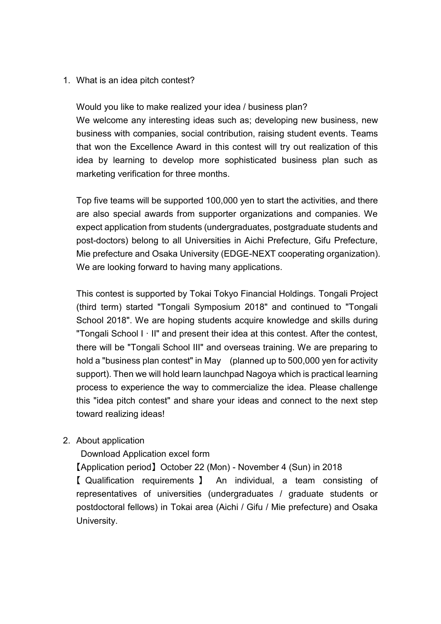1. What is an idea pitch contest?

Would you like to make realized your idea / business plan? We welcome any interesting ideas such as; developing new business, new business with companies, social contribution, raising student events. Teams that won the Excellence Award in this contest will try out realization of this idea by learning to develop more sophisticated business plan such as marketing verification for three months.

Top five teams will be supported 100,000 yen to start the activities, and there are also special awards from supporter organizations and companies. We expect application from students (undergraduates, postgraduate students and post-doctors) belong to all Universities in Aichi Prefecture, Gifu Prefecture, Mie prefecture and Osaka University (EDGE-NEXT cooperating organization). We are looking forward to having many applications.

This contest is supported by Tokai Tokyo Financial Holdings. Tongali Project (third term) started "Tongali Symposium 2018" and continued to "Tongali School 2018". We are hoping students acquire knowledge and skills during "Tongali School I · II" and present their idea at this contest. After the contest, there will be "Tongali School III" and overseas training. We are preparing to hold a "business plan contest" in May (planned up to 500,000 yen for activity support). Then we will hold learn launchpad Nagoya which is practical learning process to experience the way to commercialize the idea. Please challenge this "idea pitch contest" and share your ideas and connect to the next step toward realizing ideas!

2. About application

Download Application excel form

【Application period】 October 22 (Mon) - November 4 (Sun) in 2018

【 Qualification requirements 】 An individual, a team consisting of representatives of universities (undergraduates / graduate students or postdoctoral fellows) in Tokai area (Aichi / Gifu / Mie prefecture) and Osaka University.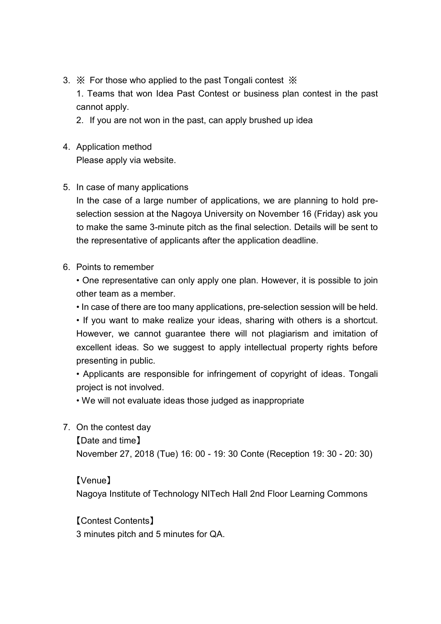3. ※ For those who applied to the past Tongali contest ※

1. Teams that won Idea Past Contest or business plan contest in the past cannot apply.

- 2. If you are not won in the past, can apply brushed up idea
- 4. Application method Please apply via website.
- 5. In case of many applications

In the case of a large number of applications, we are planning to hold preselection session at the Nagoya University on November 16 (Friday) ask you to make the same 3-minute pitch as the final selection. Details will be sent to the representative of applicants after the application deadline.

6. Points to remember

• One representative can only apply one plan. However, it is possible to join other team as a member.

• In case of there are too many applications, pre-selection session will be held.

• If you want to make realize your ideas, sharing with others is a shortcut. However, we cannot guarantee there will not plagiarism and imitation of excellent ideas. So we suggest to apply intellectual property rights before presenting in public.

• Applicants are responsible for infringement of copyright of ideas. Tongali project is not involved.

• We will not evaluate ideas those judged as inappropriate

7. On the contest day

【Date and time】

November 27, 2018 (Tue) 16: 00 - 19: 30 Conte (Reception 19: 30 - 20: 30)

【Venue】

Nagoya Institute of Technology NITech Hall 2nd Floor Learning Commons

【Contest Contents】 3 minutes pitch and 5 minutes for QA.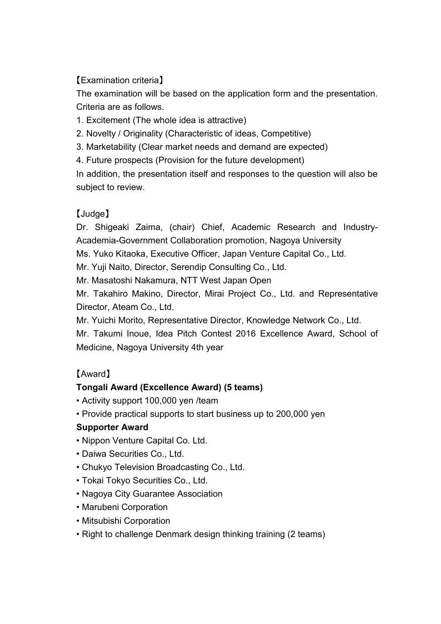## 【Examination criteria】

The examination will be based on the application form and the presentation. Criteria are as follows.

- 1. Excitement (The whole idea is attractive)
- 2. Novelty / Originality (Characteristic of ideas, Competitive)
- 3. Marketability (Clear market needs and demand are expected)
- 4. Future prospects (Provision for the future development)

In addition, the presentation itself and responses to the question will also be subject to review.

## 【Judge】

Dr. Shigeaki Zaima, (chair) Chief, Academic Research and Industry-Academia-Government Collaboration promotion, Nagoya University

Ms. Yuko Kitaoka, Executive Officer, Japan Venture Capital Co., Ltd.

Mr. Yuji Naito, Director, Serendip Consulting Co., Ltd.

Mr. Masatoshi Nakamura, NTT West Japan Open

Mr. Takahiro Makino, Director, Mirai Project Co., Ltd. and Representative Director, Ateam Co., Ltd.

Mr. Yuichi Morito, Representative Director, Knowledge Network Co., Ltd.

Mr. Takumi Inoue, Idea Pitch Contest 2016 Excellence Award, School of Medicine, Nagoya University 4th year

# 【Award】

## **Tongali Award (Excellence Award) (5 teams)**

- Activity support 100,000 yen /team
- Provide practical supports to start business up to 200,000 yen

#### **Supporter Award**

- Nippon Venture Capital Co. Ltd.
- Daiwa Securities Co., Ltd.
- Chukyo Television Broadcasting Co., Ltd.
- Tokai Tokyo Securities Co., Ltd.
- Nagoya City Guarantee Association
- Marubeni Corporation
- Mitsubishi Corporation
- Right to challenge Denmark design thinking training (2 teams)